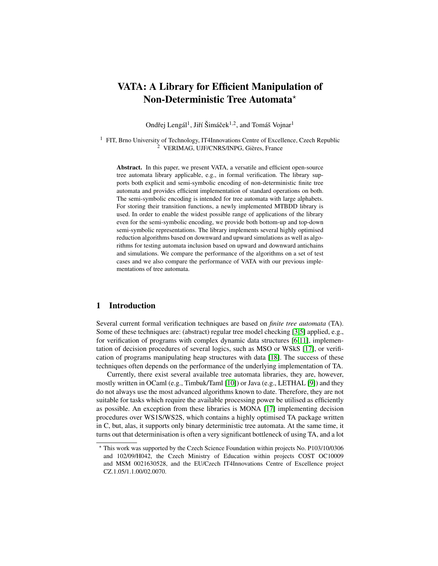# VATA: A Library for Efficient Manipulation of Non-Deterministic Tree Automata?

Ondřej Lengál<sup>1</sup>, Jiří Šimáček<sup>1,2</sup>, and Tomáš Vojnar<sup>1</sup>

<sup>1</sup> FIT, Brno University of Technology, IT4Innovations Centre of Excellence, Czech Republic  $2$  VERIMAG, UJF/CNRS/INPG, Gières, France

Abstract. In this paper, we present VATA, a versatile and efficient open-source tree automata library applicable, e.g., in formal verification. The library supports both explicit and semi-symbolic encoding of non-deterministic finite tree automata and provides efficient implementation of standard operations on both. The semi-symbolic encoding is intended for tree automata with large alphabets. For storing their transition functions, a newly implemented MTBDD library is used. In order to enable the widest possible range of applications of the library even for the semi-symbolic encoding, we provide both bottom-up and top-down semi-symbolic representations. The library implements several highly optimised reduction algorithms based on downward and upward simulations as well as algorithms for testing automata inclusion based on upward and downward antichains and simulations. We compare the performance of the algorithms on a set of test cases and we also compare the performance of VATA with our previous implementations of tree automata.

# 1 Introduction

Several current formal verification techniques are based on *finite tree automata* (TA). Some of these techniques are: (abstract) regular tree model checking [\[3,](#page-14-0)[5\]](#page-14-1) applied, e.g., for verification of programs with complex dynamic data structures [\[6](#page-14-2)[,11\]](#page-14-3), implementation of decision procedures of several logics, such as MSO or WSkS [\[17\]](#page-14-4), or verification of programs manipulating heap structures with data [\[18\]](#page-14-5). The success of these techniques often depends on the performance of the underlying implementation of TA.

Currently, there exist several available tree automata libraries, they are, however, mostly written in OCaml (e.g., Timbuk/Taml [\[10\]](#page-14-6)) or Java (e.g., LETHAL [\[9\]](#page-14-7)) and they do not always use the most advanced algorithms known to date. Therefore, they are not suitable for tasks which require the available processing power be utilised as efficiently as possible. An exception from these libraries is MONA [\[17\]](#page-14-4) implementing decision procedures over WS1S/WS2S, which contains a highly optimised TA package written in C, but, alas, it supports only binary deterministic tree automata. At the same time, it turns out that determinisation is often a very significant bottleneck of using TA, and a lot

<sup>?</sup> This work was supported by the Czech Science Foundation within projects No. P103/10/0306 and 102/09/H042, the Czech Ministry of Education within projects COST OC10009 and MSM 0021630528, and the EU/Czech IT4Innovations Centre of Excellence project CZ.1.05/1.1.00/02.0070.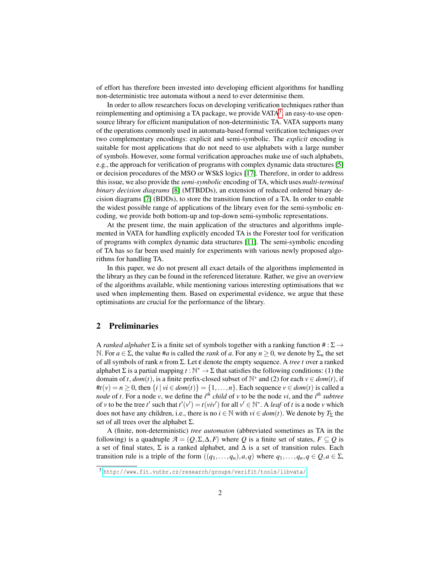of effort has therefore been invested into developing efficient algorithms for handling non-deterministic tree automata without a need to ever determinise them.

In order to allow researchers focus on developing verification techniques rather than reimplementing and optimising a TA package, we provide  $VATA<sup>3</sup>$  $VATA<sup>3</sup>$  $VATA<sup>3</sup>$ , an easy-to-use opensource library for efficient manipulation of non-deterministic TA. VATA supports many of the operations commonly used in automata-based formal verification techniques over two complementary encodings: explicit and semi-symbolic. The *explicit* encoding is suitable for most applications that do not need to use alphabets with a large number of symbols. However, some formal verification approaches make use of such alphabets, e.g., the approach for verification of programs with complex dynamic data structures [\[5\]](#page-14-1) or decision procedures of the MSO or WSkS logics [\[17\]](#page-14-4). Therefore, in order to address this issue, we also provide the *semi-symbolic* encoding of TA, which uses *multi-terminal binary decision diagrams* [\[8\]](#page-14-8) (MTBDDs), an extension of reduced ordered binary decision diagrams [\[7\]](#page-14-9) (BDDs), to store the transition function of a TA. In order to enable the widest possible range of applications of the library even for the semi-symbolic encoding, we provide both bottom-up and top-down semi-symbolic representations.

At the present time, the main application of the structures and algorithms implemented in VATA for handling explicitly encoded TA is the Forester tool for verification of programs with complex dynamic data structures [\[11\]](#page-14-3). The semi-symbolic encoding of TA has so far been used mainly for experiments with various newly proposed algorithms for handling TA.

In this paper, we do not present all exact details of the algorithms implemented in the library as they can be found in the referenced literature. Rather, we give an overview of the algorithms available, while mentioning various interesting optimisations that we used when implementing them. Based on experimental evidence, we argue that these optimisations are crucial for the performance of the library.

# 2 Preliminaries

A *ranked alphabet*  $\Sigma$  is a finite set of symbols together with a ranking function  $\# : \Sigma \rightarrow$ N. For  $a \in \Sigma$ , the value #*a* is called the *rank* of *a*. For any  $n \ge 0$ , we denote by  $\Sigma_n$  the set of all symbols of rank *n* from Σ. Let ε denote the empty sequence. A *tree t* over a ranked alphabet  $\Sigma$  is a partial mapping  $t : \mathbb{N}^* \to \Sigma$  that satisfies the following conditions: (1) the domain of *t*,  $dom(t)$ , is a finite prefix-closed subset of  $\mathbb{N}^*$  and (2) for each  $v \in dom(t)$ , if # $t(v) = n ≥ 0$ , then {*i* | *vi* ∈ *dom*(*t*)} = {1,...,*n*}. Each sequence *v* ∈ *dom*(*t*) is called a *node* of *t*. For a node *v*, we define the *i th child* of *v* to be the node *vi*, and the *i th subtree* of *v* to be the tree *t*' such that  $t'(v') = t(viv')$  for all  $v' \in \mathbb{N}^*$ . A *leaf* of *t* is a node *v* which does not have any children, i.e., there is no  $i \in \mathbb{N}$  with  $vi \in dom(t)$ . We denote by  $T_{\Sigma}$  the set of all trees over the alphabet  $\Sigma$ .

A (finite, non-deterministic) *tree automaton* (abbreviated sometimes as TA in the following) is a quadruple  $A = (Q, \Sigma, \Delta, F)$  where Q is a finite set of states,  $F \subseteq Q$  is a set of final states,  $\Sigma$  is a ranked alphabet, and  $\Delta$  is a set of transition rules. Each transition rule is a triple of the form  $((q_1,...,q_n),a,q)$  where  $q_1,...,q_n, q \in Q, a \in \Sigma$ ,

<span id="page-1-0"></span><sup>3</sup> <http://www.fit.vutbr.cz/research/groups/verifit/tools/libvata/>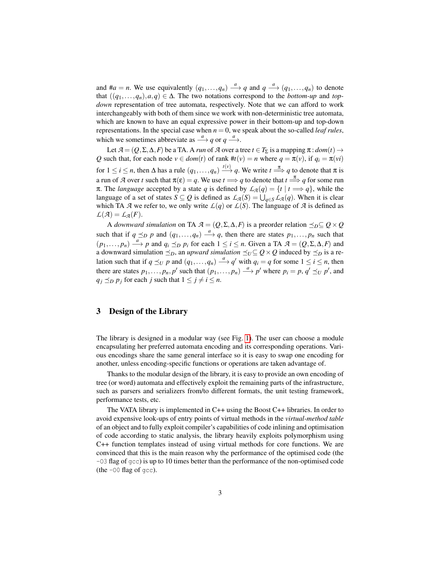and  $\#a = n$ . We use equivalently  $(q_1, \ldots, q_n) \stackrel{a}{\longrightarrow} q$  and  $q \stackrel{a}{\longrightarrow} (q_1, \ldots, q_n)$  to denote that  $((q_1,...,q_n),a,q) \in \Delta$ . The two notations correspond to the *bottom-up* and *topdown* representation of tree automata, respectively. Note that we can afford to work interchangeably with both of them since we work with non-deterministic tree automata, which are known to have an equal expressive power in their bottom-up and top-down representations. In the special case when  $n = 0$ , we speak about the so-called *leaf rules*, which we sometimes abbreviate as  $\stackrel{a}{\longrightarrow} q$  or  $q \stackrel{a}{\longrightarrow}$ .

Let  $A = (Q, \Sigma, \Delta, F)$  be a TA. A *run* of  $A$  over a tree  $t \in T_{\Sigma}$  is a mapping  $\pi : dom(t) \rightarrow$ *Q* such that, for each node  $v \in dom(t)$  of rank  $#t(v) = n$  where  $q = \pi(v)$ , if  $q_i = \pi(vi)$ for  $1 \le i \le n$ , then  $\Delta$  has a rule  $(q_1, \ldots, q_n) \stackrel{t(v)}{\longrightarrow} q$ . We write  $t \stackrel{\pi}{\Longrightarrow} q$  to denote that  $\pi$  is a run of *A* over *t* such that  $\pi(\varepsilon) = q$ . We use  $t \Longrightarrow q$  to denote that  $t \stackrel{\pi}{\Longrightarrow} q$  for some run π. The *language* accepted by a state *q* is defined by  $L_A(q) = \{t \mid t \implies q\}$ , while the language of a set of states  $S \subseteq Q$  is defined as  $\mathcal{L}_{A}(S) = \bigcup_{q \in S} \mathcal{L}_{A}(q)$ . When it is clear which TA *A* we refer to, we only write  $L(q)$  or  $L(S)$ . The language of *A* is defined as  $\mathcal{L}(\mathcal{A}) = \mathcal{L}_{\mathcal{A}}(F).$ 

A *downward simulation* on TA  $A = (Q, \Sigma, \Delta, F)$  is a preorder relation  $\preceq_D \subseteq Q \times Q$ such that if  $q \leq_p p$  and  $(q_1, \ldots, q_n) \stackrel{a}{\longrightarrow} q$ , then there are states  $p_1, \ldots, p_n$  such that  $(p_1,..., p_n) \stackrel{a}{\longrightarrow} p$  and  $q_i \preceq_D p_i$  for each  $1 \leq i \leq n$ . Given a TA  $A = (Q, \Sigma, \Delta, F)$  and a downward simulation  $\leq_D$ , an *upward simulation*  $\leq_U \subseteq Q \times Q$  induced by  $\leq_D$  is a relation such that if  $q \le u$  *p* and  $(q_1, \ldots, q_n) \stackrel{a}{\longrightarrow} q'$  with  $q_i = q$  for some  $1 \le i \le n$ , then there are states  $p_1, \ldots, p_n, p'$  such that  $(p_1, \ldots, p_n) \stackrel{a}{\longrightarrow} p'$  where  $p_i = p, q' \preceq_U p'$ , and  $q_i \leq p$  *p*<sub>*j*</sub> for each *j* such that  $1 \leq j \neq i \leq n$ .

# 3 Design of the Library

The library is designed in a modular way (see Fig. [1\)](#page-3-0). The user can choose a module encapsulating her preferred automata encoding and its corresponding operations. Various encodings share the same general interface so it is easy to swap one encoding for another, unless encoding-specific functions or operations are taken advantage of.

Thanks to the modular design of the library, it is easy to provide an own encoding of tree (or word) automata and effectively exploit the remaining parts of the infrastructure, such as parsers and serializers from/to different formats, the unit testing framework, performance tests, etc.

The VATA library is implemented in C++ using the Boost C++ libraries. In order to avoid expensive look-ups of entry points of virtual methods in the *virtual-method table* of an object and to fully exploit compiler's capabilities of code inlining and optimisation of code according to static analysis, the library heavily exploits polymorphism using C++ function templates instead of using virtual methods for core functions. We are convinced that this is the main reason why the performance of the optimised code (the  $-03$  flag of  $qcc$ ) is up to 10 times better than the performance of the non-optimised code (the  $-00$  flag of  $qcc$ ).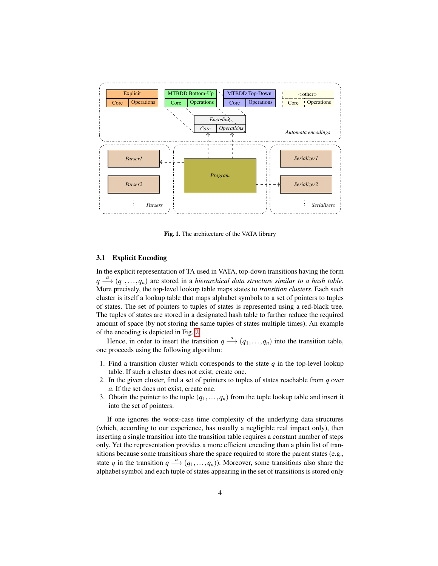

<span id="page-3-0"></span>Fig. 1. The architecture of the VATA library

# 3.1 Explicit Encoding

In the explicit representation of TA used in VATA, top-down transitions having the form  $q \stackrel{a}{\longrightarrow} (q_1,\ldots,q_n)$  are stored in a *hierarchical data structure similar to a hash table*. More precisely, the top-level lookup table maps states to *transition clusters*. Each such cluster is itself a lookup table that maps alphabet symbols to a set of pointers to tuples of states. The set of pointers to tuples of states is represented using a red-black tree. The tuples of states are stored in a designated hash table to further reduce the required amount of space (by not storing the same tuples of states multiple times). An example of the encoding is depicted in Fig. [2.](#page-4-0)

Hence, in order to insert the transition  $q \stackrel{a}{\longrightarrow} (q_1, \ldots, q_n)$  into the transition table, one proceeds using the following algorithm:

- 1. Find a transition cluster which corresponds to the state *q* in the top-level lookup table. If such a cluster does not exist, create one.
- 2. In the given cluster, find a set of pointers to tuples of states reachable from *q* over *a*. If the set does not exist, create one.
- 3. Obtain the pointer to the tuple  $(q_1, \ldots, q_n)$  from the tuple lookup table and insert it into the set of pointers.

If one ignores the worst-case time complexity of the underlying data structures (which, according to our experience, has usually a negligible real impact only), then inserting a single transition into the transition table requires a constant number of steps only. Yet the representation provides a more efficient encoding than a plain list of transitions because some transitions share the space required to store the parent states (e.g., state *q* in the transition  $q \stackrel{a}{\longrightarrow} (q_1, \ldots, q_n)$ ). Moreover, some transitions also share the alphabet symbol and each tuple of states appearing in the set of transitions is stored only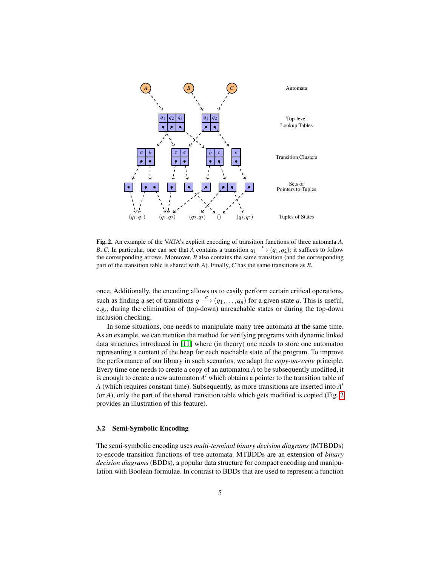

<span id="page-4-0"></span>Fig. 2. An example of the VATA's explicit encoding of transition functions of three automata *A*, *B*, *C*. In particular, one can see that *A* contains a transition  $q_1 \stackrel{c}{\longrightarrow} (q_1, q_2)$ : it suffices to follow the corresponding arrows. Moreover, *B* also contains the same transition (and the corresponding part of the transition table is shared with *A*). Finally, *C* has the same transitions as *B*.

once. Additionally, the encoding allows us to easily perform certain critical operations, such as finding a set of transitions  $q \stackrel{a}{\longrightarrow} (q_1, \ldots, q_n)$  for a given state q. This is useful, e.g., during the elimination of (top-down) unreachable states or during the top-down inclusion checking.

In some situations, one needs to manipulate many tree automata at the same time. As an example, we can mention the method for verifying programs with dynamic linked data structures introduced in [\[11\]](#page-14-3) where (in theory) one needs to store one automaton representing a content of the heap for each reachable state of the program. To improve the performance of our library in such scenarios, we adapt the *copy-on-write* principle. Every time one needs to create a copy of an automaton *A* to be subsequently modified, it is enough to create a new automaton  $A'$  which obtains a pointer to the transition table of *A* (which requires constant time). Subsequently, as more transitions are inserted into *A* 0 (or *A*), only the part of the shared transition table which gets modified is copied (Fig. [2](#page-4-0) provides an illustration of this feature).

# 3.2 Semi-Symbolic Encoding

The semi-symbolic encoding uses *multi-terminal binary decision diagrams* (MTBDDs) to encode transition functions of tree automata. MTBDDs are an extension of *binary decision diagrams* (BDDs), a popular data structure for compact encoding and manipulation with Boolean formulae. In contrast to BDDs that are used to represent a function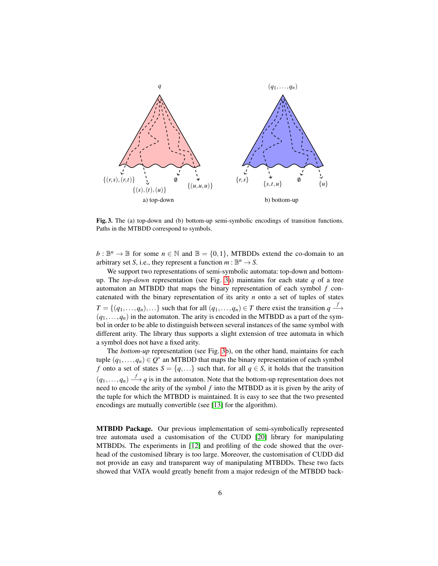

<span id="page-5-0"></span>Fig. 3. The (a) top-down and (b) bottom-up semi-symbolic encodings of transition functions. Paths in the MTBDD correspond to symbols.

 $b: \mathbb{B}^n \to \mathbb{B}$  for some  $n \in \mathbb{N}$  and  $\mathbb{B} = \{0,1\}$ , MTBDDs extend the co-domain to an arbitrary set *S*, i.e., they represent a function  $m : \mathbb{B}^n \to S$ .

We support two representations of semi-symbolic automata: top-down and bottomup. The *top-down* representation (see Fig. [3a](#page-5-0)) maintains for each state *q* of a tree automaton an MTBDD that maps the binary representation of each symbol *f* concatenated with the binary representation of its arity *n* onto a set of tuples of states  $T = \{(q_1, \ldots, q_n), \ldots\}$  such that for all  $(q_1, \ldots, q_n) \in T$  there exist the transition  $q \stackrel{f}{\longrightarrow}$  $(q_1, \ldots, q_n)$  in the automaton. The arity is encoded in the MTBDD as a part of the symbol in order to be able to distinguish between several instances of the same symbol with different arity. The library thus supports a slight extension of tree automata in which a symbol does not have a fixed arity.

The *bottom-up* representation (see Fig. [3b](#page-5-0)), on the other hand, maintains for each tuple  $(q_1, \ldots, q_n) \in Q^*$  an MTBDD that maps the binary representation of each symbol *f* onto a set of states  $S = \{q, ...\}$  such that, for all  $q \in S$ , it holds that the transition  $(q_1,...,q_n) \stackrel{f}{\longrightarrow} q$  is in the automaton. Note that the bottom-up representation does not need to encode the arity of the symbol *f* into the MTBDD as it is given by the arity of the tuple for which the MTBDD is maintained. It is easy to see that the two presented encodings are mutually convertible (see [\[13\]](#page-14-10) for the algorithm).

MTBDD Package. Our previous implementation of semi-symbolically represented tree automata used a customisation of the CUDD [\[20\]](#page-14-11) library for manipulating MTBDDs. The experiments in [\[12\]](#page-14-12) and profiling of the code showed that the overhead of the customised library is too large. Moreover, the customisation of CUDD did not provide an easy and transparent way of manipulating MTBDDs. These two facts showed that VATA would greatly benefit from a major redesign of the MTBDD back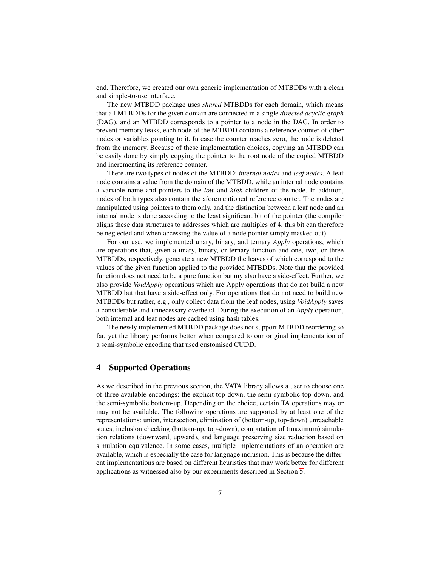end. Therefore, we created our own generic implementation of MTBDDs with a clean and simple-to-use interface.

The new MTBDD package uses *shared* MTBDDs for each domain, which means that all MTBDDs for the given domain are connected in a single *directed acyclic graph* (DAG), and an MTBDD corresponds to a pointer to a node in the DAG. In order to prevent memory leaks, each node of the MTBDD contains a reference counter of other nodes or variables pointing to it. In case the counter reaches zero, the node is deleted from the memory. Because of these implementation choices, copying an MTBDD can be easily done by simply copying the pointer to the root node of the copied MTBDD and incrementing its reference counter.

There are two types of nodes of the MTBDD: *internal nodes* and *leaf nodes*. A leaf node contains a value from the domain of the MTBDD, while an internal node contains a variable name and pointers to the *low* and *high* children of the node. In addition, nodes of both types also contain the aforementioned reference counter. The nodes are manipulated using pointers to them only, and the distinction between a leaf node and an internal node is done according to the least significant bit of the pointer (the compiler aligns these data structures to addresses which are multiples of 4, this bit can therefore be neglected and when accessing the value of a node pointer simply masked out).

For our use, we implemented unary, binary, and ternary *Apply* operations, which are operations that, given a unary, binary, or ternary function and one, two, or three MTBDDs, respectively, generate a new MTBDD the leaves of which correspond to the values of the given function applied to the provided MTBDDs. Note that the provided function does not need to be a pure function but my also have a side-effect. Further, we also provide *VoidApply* operations which are Apply operations that do not build a new MTBDD but that have a side-effect only. For operations that do not need to build new MTBDDs but rather, e.g., only collect data from the leaf nodes, using *VoidApply* saves a considerable and unnecessary overhead. During the execution of an *Apply* operation, both internal and leaf nodes are cached using hash tables.

The newly implemented MTBDD package does not support MTBDD reordering so far, yet the library performs better when compared to our original implementation of a semi-symbolic encoding that used customised CUDD.

# 4 Supported Operations

As we described in the previous section, the VATA library allows a user to choose one of three available encodings: the explicit top-down, the semi-symbolic top-down, and the semi-symbolic bottom-up. Depending on the choice, certain TA operations may or may not be available. The following operations are supported by at least one of the representations: union, intersection, elimination of (bottom-up, top-down) unreachable states, inclusion checking (bottom-up, top-down), computation of (maximum) simulation relations (downward, upward), and language preserving size reduction based on simulation equivalence. In some cases, multiple implementations of an operation are available, which is especially the case for language inclusion. This is because the different implementations are based on different heuristics that may work better for different applications as witnessed also by our experiments described in Section [5.](#page-12-0)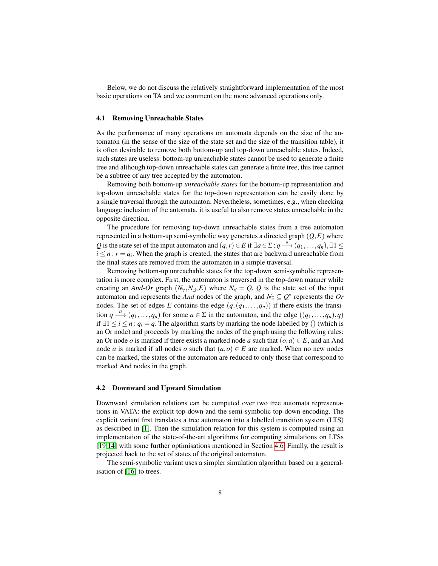Below, we do not discuss the relatively straightforward implementation of the most basic operations on TA and we comment on the more advanced operations only.

# 4.1 Removing Unreachable States

As the performance of many operations on automata depends on the size of the automaton (in the sense of the size of the state set and the size of the transition table), it is often desirable to remove both bottom-up and top-down unreachable states. Indeed, such states are useless: bottom-up unreachable states cannot be used to generate a finite tree and although top-down unreachable states can generate a finite tree, this tree cannot be a subtree of any tree accepted by the automaton.

Removing both bottom-up *unreachable states* for the bottom-up representation and top-down unreachable states for the top-down representation can be easily done by a single traversal through the automaton. Nevertheless, sometimes, e.g., when checking language inclusion of the automata, it is useful to also remove states unreachable in the opposite direction.

The procedure for removing top-down unreachable states from a tree automaton represented in a bottom-up semi-symbolic way generates a directed graph (*Q*,*E*) where *Q* is the state set of the input automaton and  $(q, r) \in E$  if  $\exists a \in \Sigma : q \stackrel{a}{\longrightarrow} (q_1, \ldots, q_n), \exists 1 \leq$  $i \leq n : r = q_i$ . When the graph is created, the states that are backward unreachable from the final states are removed from the automaton in a simple traversal.

Removing bottom-up unreachable states for the top-down semi-symbolic representation is more complex. First, the automaton is traversed in the top-down manner while creating an *And-Or* graph  $(N_y, N_{\exists}, E)$  where  $N_y = Q$ , Q is the state set of the input automaton and represents the *And* nodes of the graph, and  $N_{\exists} \subseteq Q^*$  represents the *Or* nodes. The set of edges *E* contains the edge  $(q, (q_1, \ldots, q_n))$  if there exists the transition  $q \stackrel{a}{\longrightarrow} (q_1, \ldots, q_n)$  for some  $a \in \Sigma$  in the automaton, and the edge  $((q_1, \ldots, q_n), q)$ if  $∃1 ≤ i ≤ n : q<sub>i</sub> = q$ . The algorithm starts by marking the node labelled by () (which is an Or node) and proceeds by marking the nodes of the graph using the following rules: an Or node *o* is marked if there exists a marked node *a* such that  $(o, a) \in E$ , and an And node *a* is marked if all nodes *o* such that  $(a, o) \in E$  are marked. When no new nodes can be marked, the states of the automaton are reduced to only those that correspond to marked And nodes in the graph.

## 4.2 Downward and Upward Simulation

Downward simulation relations can be computed over two tree automata representations in VATA: the explicit top-down and the semi-symbolic top-down encoding. The explicit variant first translates a tree automaton into a labelled transition system (LTS) as described in [\[1\]](#page-14-13). Then the simulation relation for this system is computed using an implementation of the state-of-the-art algorithms for computing simulations on LTSs [\[19,](#page-14-14)[14\]](#page-14-15) with some further optimisations mentioned in Section [4.6.](#page-10-0) Finally, the result is projected back to the set of states of the original automaton.

The semi-symbolic variant uses a simpler simulation algorithm based on a generalisation of [\[16\]](#page-14-16) to trees.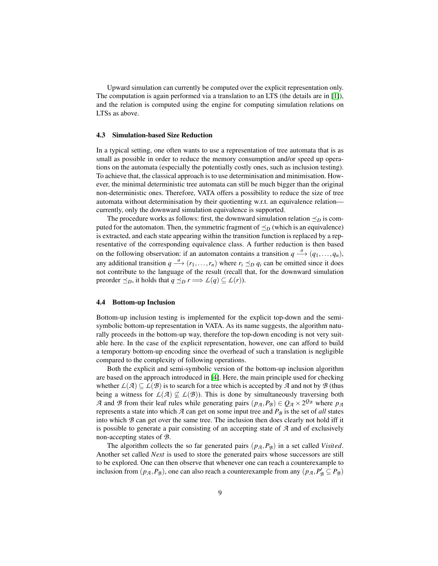Upward simulation can currently be computed over the explicit representation only. The computation is again performed via a translation to an LTS (the details are in [\[1\]](#page-14-13)), and the relation is computed using the engine for computing simulation relations on LTSs as above.

#### 4.3 Simulation-based Size Reduction

In a typical setting, one often wants to use a representation of tree automata that is as small as possible in order to reduce the memory consumption and/or speed up operations on the automata (especially the potentially costly ones, such as inclusion testing). To achieve that, the classical approach is to use determinisation and minimisation. However, the minimal deterministic tree automata can still be much bigger than the original non-deterministic ones. Therefore, VATA offers a possibility to reduce the size of tree automata without determinisation by their quotienting w.r.t. an equivalence relation currently, only the downward simulation equivalence is supported.

The procedure works as follows: first, the downward simulation relation  $\preceq_D$  is computed for the automaton. Then, the symmetric fragment of  $\preceq_D$  (which is an equivalence) is extracted, and each state appearing within the transition function is replaced by a representative of the corresponding equivalence class. A further reduction is then based on the following observation: if an automaton contains a transition  $q \stackrel{a}{\longrightarrow} (q_1, \ldots, q_n)$ , any additional transition  $q \stackrel{a}{\longrightarrow} (r_1, \ldots, r_n)$  where  $r_i \preceq_D q_i$  can be omitted since it does not contribute to the language of the result (recall that, for the downward simulation preorder  $\preceq_D$ , it holds that  $q \preceq_D r \Longrightarrow L(q) \subseteq L(r)$ .

### 4.4 Bottom-up Inclusion

Bottom-up inclusion testing is implemented for the explicit top-down and the semisymbolic bottom-up representation in VATA. As its name suggests, the algorithm naturally proceeds in the bottom-up way, therefore the top-down encoding is not very suitable here. In the case of the explicit representation, however, one can afford to build a temporary bottom-up encoding since the overhead of such a translation is negligible compared to the complexity of following operations.

Both the explicit and semi-symbolic version of the bottom-up inclusion algorithm are based on the approach introduced in [\[4\]](#page-14-17). Here, the main principle used for checking whether  $L(\mathcal{A}) \subseteq L(\mathcal{B})$  is to search for a tree which is accepted by  $\mathcal A$  and not by  $\mathcal B$  (thus being a witness for  $L(\mathcal{A}) \nsubseteq L(\mathcal{B})$ ). This is done by simultaneously traversing both *A* and *B* from their leaf rules while generating pairs  $(p_A, P_B) \in Q_A \times 2^{Q_B}$  where  $p_A$ represents a state into which  $\mathcal A$  can get on some input tree and  $P_{\mathcal B}$  is the set of *all* states into which *B* can get over the same tree. The inclusion then does clearly not hold iff it is possible to generate a pair consisting of an accepting state of *A* and of exclusively non-accepting states of *B*.

The algorithm collects the so far generated pairs  $(p_A, P_B)$  in a set called *Visited*. Another set called *Next* is used to store the generated pairs whose successors are still to be explored. One can then observe that whenever one can reach a counterexample to inclusion from  $(p_A, P_B)$ , one can also reach a counterexample from any  $(p_A, P'_B \subseteq P_B)$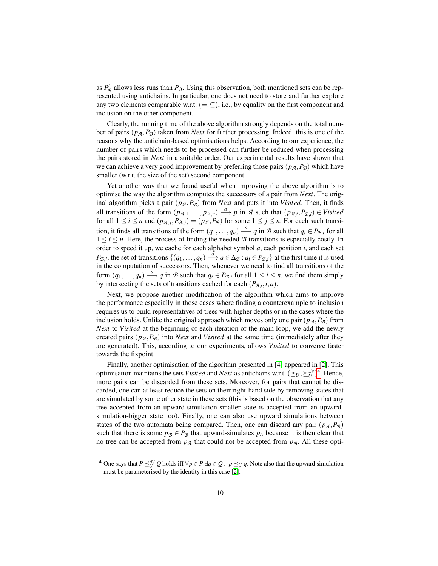as  $P'_{\mathcal{B}}$  allows less runs than  $P_{\mathcal{B}}$ . Using this observation, both mentioned sets can be represented using antichains. In particular, one does not need to store and further explore any two elements comparable w.r.t.  $(=\subseteq)$ , i.e., by equality on the first component and inclusion on the other component.

Clearly, the running time of the above algorithm strongly depends on the total number of pairs  $(p_A, P_B)$  taken from *Next* for further processing. Indeed, this is one of the reasons why the antichain-based optimisations helps. According to our experience, the number of pairs which needs to be processed can further be reduced when processing the pairs stored in *Next* in a suitable order. Our experimental results have shown that we can achieve a very good improvement by preferring those pairs  $(p_A, P_B)$  which have smaller (w.r.t. the size of the set) second component.

Yet another way that we found useful when improving the above algorithm is to optimise the way the algorithm computes the successors of a pair from *Next*. The original algorithm picks a pair  $(p_A, P_B)$  from *Next* and puts it into *Visited*. Then, it finds all transitions of the form  $(p_{A,1},..., p_{A,n}) \stackrel{a}{\longrightarrow} p$  in *A* such that  $(p_{A,i}, P_{B,i}) \in V isited$ for all  $1 \le i \le n$  and  $(p_{A,j}, P_{B,j}) = (p_A, P_B)$  for some  $1 \le j \le n$ . For each such transition, it finds all transitions of the form  $(q_1, \ldots, q_n) \stackrel{a}{\longrightarrow} q$  in *B* such that  $q_i \in P_{\mathcal{B},i}$  for all  $1 \le i \le n$ . Here, the process of finding the needed  $\mathcal{B}$  transitions is especially costly. In order to speed it up, we cache for each alphabet symbol *a*, each position *i*, and each set  $P_{\mathcal{B},i}$ , the set of transitions  $\{(q_1,\ldots,q_n) \stackrel{\hat{a}}{\longrightarrow} q \in \Delta_{\mathcal{B}} : q_i \in P_{\mathcal{B},i}\}\$ at the first time it is used in the computation of successors. Then, whenever we need to find all transitions of the form  $(q_1,...,q_n) \stackrel{a}{\longrightarrow} q$  in *B* such that  $q_i \in P_{\mathcal{B},i}$  for all  $1 \leq i \leq n$ , we find them simply by intersecting the sets of transitions cached for each  $(P_{\mathcal{B},i}, i, a)$ .

Next, we propose another modification of the algorithm which aims to improve the performance especially in those cases where finding a counterexample to inclusion requires us to build representatives of trees with higher depths or in the cases where the inclusion holds. Unlike the original approach which moves only one pair  $(p_A, P_B)$  from *Next* to *Visited* at the beginning of each iteration of the main loop, we add the newly created pairs  $(p_A, P_B)$  into *Next* and *Visited* at the same time (immediately after they are generated). This, according to our experiments, allows *Visited* to converge faster towards the fixpoint.

Finally, another optimisation of the algorithm presented in [\[4\]](#page-14-17) appeared in [\[2\]](#page-14-18). This optimisation maintains the sets *Visited* and *Next* as antichains w.r.t.  $(\leq_U, \leq_V^{\exists \forall})^4$  $(\leq_U, \leq_V^{\exists \forall})^4$ . Hence, more pairs can be discarded from these sets. Moreover, for pairs that cannot be discarded, one can at least reduce the sets on their right-hand side by removing states that are simulated by some other state in these sets (this is based on the observation that any tree accepted from an upward-simulation-smaller state is accepted from an upwardsimulation-bigger state too). Finally, one can also use upward simulations between states of the two automata being compared. Then, one can discard any pair  $(p_A, P_B)$ such that there is some  $p_{\beta} \in P_{\beta}$  that upward-simulates  $p_A$  because it is then clear that no tree can be accepted from  $p_A$  that could not be accepted from  $p_B$ . All these opti-

<span id="page-9-0"></span><sup>&</sup>lt;sup>4</sup> One says that *P*  $\preceq^{\exists \forall}_{U} Q$  holds iff ∀*p* ∈ *P* ∃*q* ∈ *Q* : *p*  $\preceq_U q$ . Note also that the upward simulation must be parameterised by the identity in this case [\[2\]](#page-14-18).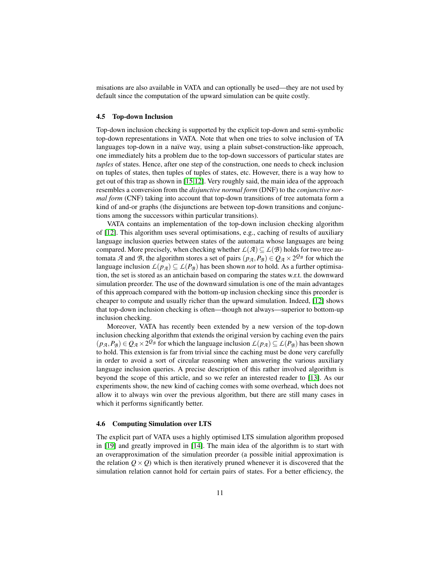misations are also available in VATA and can optionally be used—they are not used by default since the computation of the upward simulation can be quite costly.

### <span id="page-10-1"></span>4.5 Top-down Inclusion

Top-down inclusion checking is supported by the explicit top-down and semi-symbolic top-down representations in VATA. Note that when one tries to solve inclusion of TA languages top-down in a naïve way, using a plain subset-construction-like approach, one immediately hits a problem due to the top-down successors of particular states are *tuples* of states. Hence, after one step of the construction, one needs to check inclusion on tuples of states, then tuples of tuples of states, etc. However, there is a way how to get out of this trap as shown in [\[15,](#page-14-19)[12\]](#page-14-12). Very roughly said, the main idea of the approach resembles a conversion from the *disjunctive normal form* (DNF) to the *conjunctive normal form* (CNF) taking into account that top-down transitions of tree automata form a kind of and-or graphs (the disjunctions are between top-down transitions and conjunctions among the successors within particular transitions).

VATA contains an implementation of the top-down inclusion checking algorithm of [\[12\]](#page-14-12). This algorithm uses several optimisations, e.g., caching of results of auxiliary language inclusion queries between states of the automata whose languages are being compared. More precisely, when checking whether  $\mathcal{L}(\mathcal{A}) \subseteq \mathcal{L}(\mathcal{B})$  holds for two tree automata *A* and *B*, the algorithm stores a set of pairs  $(p_A, P_B) \in Q_A \times 2^{Q_B}$  for which the language inclusion  $L(p_A) \subseteq L(P_B)$  has been shown *not* to hold. As a further optimisation, the set is stored as an antichain based on comparing the states w.r.t. the downward simulation preorder. The use of the downward simulation is one of the main advantages of this approach compared with the bottom-up inclusion checking since this preorder is cheaper to compute and usually richer than the upward simulation. Indeed, [\[12\]](#page-14-12) shows that top-down inclusion checking is often—though not always—superior to bottom-up inclusion checking.

Moreover, VATA has recently been extended by a new version of the top-down inclusion checking algorithm that extends the original version by caching even the pairs  $(p_A, P_B) \in Q_A \times 2^{Q_B}$  for which the language inclusion  $L(p_A) \subseteq L(P_B)$  has been shown to hold. This extension is far from trivial since the caching must be done very carefully in order to avoid a sort of circular reasoning when answering the various auxiliary language inclusion queries. A precise description of this rather involved algorithm is beyond the scope of this article, and so we refer an interested reader to [\[13\]](#page-14-10). As our experiments show, the new kind of caching comes with some overhead, which does not allow it to always win over the previous algorithm, but there are still many cases in which it performs significantly better.

# <span id="page-10-0"></span>4.6 Computing Simulation over LTS

The explicit part of VATA uses a highly optimised LTS simulation algorithm proposed in [\[19\]](#page-14-14) and greatly improved in [\[14\]](#page-14-15). The main idea of the algorithm is to start with an overapproximation of the simulation preorder (a possible initial approximation is the relation  $Q \times Q$ ) which is then iteratively pruned whenever it is discovered that the simulation relation cannot hold for certain pairs of states. For a better efficiency, the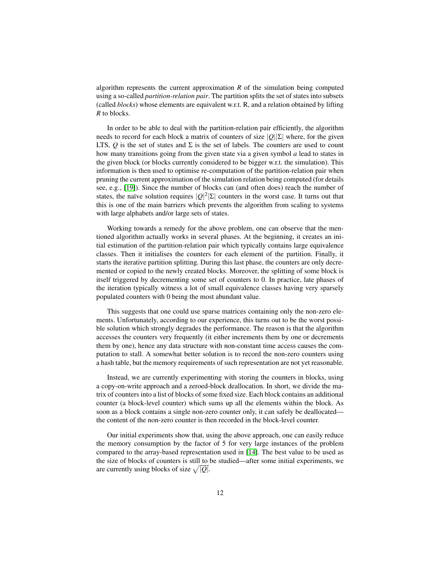algorithm represents the current approximation *R* of the simulation being computed using a so-called *partition-relation pair*. The partition splits the set of states into subsets (called *blocks*) whose elements are equivalent w.r.t. R, and a relation obtained by lifting *R* to blocks.

In order to be able to deal with the partition-relation pair efficiently, the algorithm needs to record for each block a matrix of counters of size |*Q*||Σ| where, for the given LTS,  $Q$  is the set of states and  $\Sigma$  is the set of labels. The counters are used to count how many transitions going from the given state via a given symbol *a* lead to states in the given block (or blocks currently considered to be bigger w.r.t. the simulation). This information is then used to optimise re-computation of the partition-relation pair when pruning the current approximation of the simulation relation being computed (for details see, e.g., [\[19\]](#page-14-14)). Since the number of blocks can (and often does) reach the number of states, the naïve solution requires  $|Q|^2|\Sigma|$  counters in the worst case. It turns out that this is one of the main barriers which prevents the algorithm from scaling to systems with large alphabets and/or large sets of states.

Working towards a remedy for the above problem, one can observe that the mentioned algorithm actually works in several phases. At the beginning, it creates an initial estimation of the partition-relation pair which typically contains large equivalence classes. Then it initialises the counters for each element of the partition. Finally, it starts the iterative partition splitting. During this last phase, the counters are only decremented or copied to the newly created blocks. Moreover, the splitting of some block is itself triggered by decrementing some set of counters to 0. In practice, late phases of the iteration typically witness a lot of small equivalence classes having very sparsely populated counters with 0 being the most abundant value.

This suggests that one could use sparse matrices containing only the non-zero elements. Unfortunately, according to our experience, this turns out to be the worst possible solution which strongly degrades the performance. The reason is that the algorithm accesses the counters very frequently (it either increments them by one or decrements them by one), hence any data structure with non-constant time access causes the computation to stall. A somewhat better solution is to record the non-zero counters using a hash table, but the memory requirements of such representation are not yet reasonable.

Instead, we are currently experimenting with storing the counters in blocks, using a copy-on-write approach and a zeroed-block deallocation. In short, we divide the matrix of counters into a list of blocks of some fixed size. Each block contains an additional counter (a block-level counter) which sums up all the elements within the block. As soon as a block contains a single non-zero counter only, it can safely be deallocated the content of the non-zero counter is then recorded in the block-level counter.

Our initial experiments show that, using the above approach, one can easily reduce the memory consumption by the factor of 5 for very large instances of the problem compared to the array-based representation used in [\[14\]](#page-14-15). The best value to be used as the size of blocks of counters is still to be studied—after some initial experiments, we are currently using blocks of size  $\sqrt{|Q|}$ .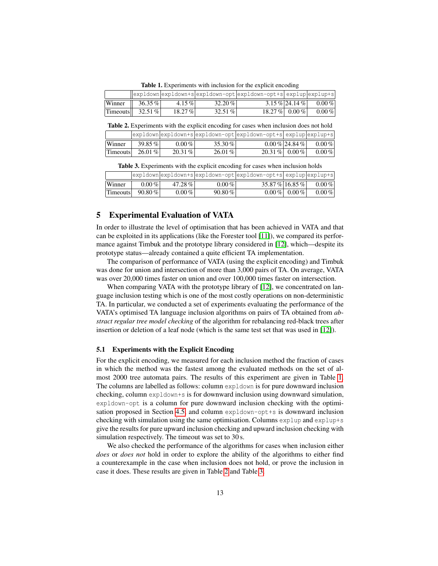<span id="page-12-1"></span>Table 1. Experiments with inclusion for the explicit encoding

|                 |           |        |           | expldown expldown+s expldown-opt expldown-opt+s explup explup+s |                  |            |
|-----------------|-----------|--------|-----------|-----------------------------------------------------------------|------------------|------------|
| Winner          | $36.35\%$ | 4.15 % | $32.20\%$ |                                                                 | $3.15\%$ 24.14 % | $0.00\,\%$ |
| <b>Timeouts</b> | 32.51%    | 18.27% | $32.51\%$ |                                                                 | $18.27\%$ 0.00 % | $0.00\%$   |

<span id="page-12-2"></span>Table 2. Experiments with the explicit encoding for cases when inclusion does not hold

|                 |           |           |           | expldown expldown+s expldown-opt expldown-opt+s explup explup+s |                  |          |
|-----------------|-----------|-----------|-----------|-----------------------------------------------------------------|------------------|----------|
| Winner          | 39.85 %   | $0.00\%$  | $35.30\%$ |                                                                 | $0.00\%$  24.84% | $0.00\%$ |
| <b>Timeouts</b> | $26.01\%$ | $20.31\%$ | $26.01\%$ | 20.31 % 0.00 %                                                  |                  | $0.00\%$ |

<span id="page-12-3"></span>Table 3. Experiments with the explicit encoding for cases when inclusion holds

|          |           |          |           | $ exp1down exp1down+space down-opt exp1down-opt+space exp1up exp1up+space $ |                 |          |
|----------|-----------|----------|-----------|-----------------------------------------------------------------------------|-----------------|----------|
| Winner   | $0.00\%$  | 47.28%   | $0.00\%$  | 35.87% 16.85%                                                               |                 | $0.00\%$ |
| Timeouts | $90.80\%$ | $0.00\%$ | $90.80\%$ |                                                                             | $0.00\%$ 0.00 % | $0.00\%$ |

# <span id="page-12-0"></span>5 Experimental Evaluation of VATA

In order to illustrate the level of optimisation that has been achieved in VATA and that can be exploited in its applications (like the Forester tool [\[11\]](#page-14-3)), we compared its performance against Timbuk and the prototype library considered in [\[12\]](#page-14-12), which—despite its prototype status—already contained a quite efficient TA implementation.

The comparison of performance of VATA (using the explicit encoding) and Timbuk was done for union and intersection of more than 3,000 pairs of TA. On average, VATA was over 20,000 times faster on union and over 100,000 times faster on intersection.

When comparing VATA with the prototype library of [\[12\]](#page-14-12), we concentrated on language inclusion testing which is one of the most costly operations on non-deterministic TA. In particular, we conducted a set of experiments evaluating the performance of the VATA's optimised TA language inclusion algorithms on pairs of TA obtained from *abstract regular tree model checking* of the algorithm for rebalancing red-black trees after insertion or deletion of a leaf node (which is the same test set that was used in [\[12\]](#page-14-12)).

#### 5.1 Experiments with the Explicit Encoding

For the explicit encoding, we measured for each inclusion method the fraction of cases in which the method was the fastest among the evaluated methods on the set of almost 2000 tree automata pairs. The results of this experiment are given in Table [1.](#page-12-1) The columns are labelled as follows: column expldown is for pure downward inclusion checking, column expldown+s is for downward inclusion using downward simulation, expldown-opt is a column for pure downward inclusion checking with the optimi-sation proposed in Section [4.5,](#page-10-1) and column expldown-opt+s is downward inclusion checking with simulation using the same optimisation. Columns explup and explup+s give the results for pure upward inclusion checking and upward inclusion checking with simulation respectively. The timeout was set to 30 s.

We also checked the performance of the algorithms for cases when inclusion either *does* or *does not* hold in order to explore the ability of the algorithms to either find a counterexample in the case when inclusion does not hold, or prove the inclusion in case it does. These results are given in Table [2](#page-12-2) and Table [3.](#page-12-3)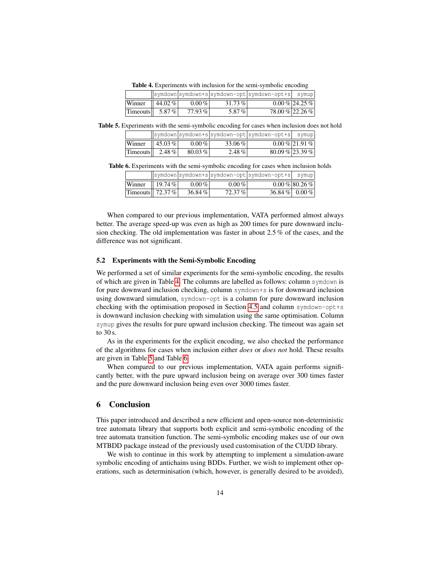<span id="page-13-0"></span>Table 4. Experiments with inclusion for the semi-symbolic encoding

|          |         |           |           | symdown symdown+s symdown-opt symdown-opt+s  symup |                 |
|----------|---------|-----------|-----------|----------------------------------------------------|-----------------|
| Winner   | 44.02 % | $0.00\%$  | $31.73\%$ |                                                    | $0.00\%$ 24.25% |
| Timeouts | 5.87%   | $77.93\%$ | 5.87 %    | 78.00% 22.26%                                      |                 |

Table 5. Experiments with the semi-symbolic encoding for cases when inclusion does not hold

<span id="page-13-1"></span>

|          |                     |              |          | symdown symdown+s symdown-opt symdown-opt+s  symup |                  |
|----------|---------------------|--------------|----------|----------------------------------------------------|------------------|
| Winner   | $\parallel$ 45.03 % | $0.00\,\%$ l | 33.06%   |                                                    | $0.00\%$  21.91% |
| Timeouts | $2.48\%$            | $80.03\%$    | $2.48\%$ | $80.09\%$ 23.39%                                   |                  |

Table 6. Experiments with the semi-symbolic encoding for cases when inclusion holds

<span id="page-13-2"></span>

|                         |                    |           |           | symdown symdown+s symdown-opt symdown-opt+s  symup |                 |
|-------------------------|--------------------|-----------|-----------|----------------------------------------------------|-----------------|
| Winner                  | $\parallel$ 19.74% | $0.00\%$  | $0.00\%$  |                                                    | $0.00\%$ 80.26% |
| Timeouts $\vert$ 72.37% |                    | $36.84\%$ | $72.37\%$ | 36.84 % 0.00 %                                     |                 |

When compared to our previous implementation, VATA performed almost always better. The average speed-up was even as high as 200 times for pure downward inclusion checking. The old implementation was faster in about 2.5 % of the cases, and the difference was not significant.

# 5.2 Experiments with the Semi-Symbolic Encoding

We performed a set of similar experiments for the semi-symbolic encoding, the results of which are given in Table [4.](#page-13-0) The columns are labelled as follows: column symdown is for pure downward inclusion checking, column symdown+s is for downward inclusion using downward simulation, symdown-opt is a column for pure downward inclusion checking with the optimisation proposed in Section [4.5](#page-10-1) and column symdown-opt+s is downward inclusion checking with simulation using the same optimisation. Column symup gives the results for pure upward inclusion checking. The timeout was again set to 30 s.

As in the experiments for the explicit encoding, we also checked the performance of the algorithms for cases when inclusion either *does* or *does not* hold. These results are given in Table [5](#page-13-1) and Table [6.](#page-13-2)

When compared to our previous implementation, VATA again performs significantly better, with the pure upward inclusion being on average over 300 times faster and the pure downward inclusion being even over 3000 times faster.

# 6 Conclusion

This paper introduced and described a new efficient and open-source non-deterministic tree automata library that supports both explicit and semi-symbolic encoding of the tree automata transition function. The semi-symbolic encoding makes use of our own MTBDD package instead of the previously used customisation of the CUDD library.

We wish to continue in this work by attempting to implement a simulation-aware symbolic encoding of antichains using BDDs. Further, we wish to implement other operations, such as determinisation (which, however, is generally desired to be avoided),